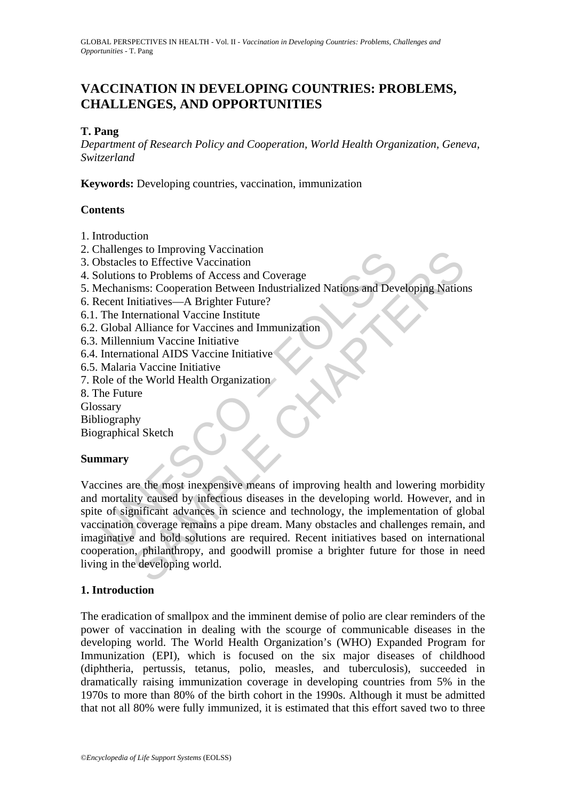# **VACCINATION IN DEVELOPING COUNTRIES: PROBLEMS, CHALLENGES, AND OPPORTUNITIES**

# **T. Pang**

*Department of Research Policy and Cooperation, World Health Organization, Geneva, Switzerland* 

**Keywords:** Developing countries, vaccination, immunization

# **Contents**

- 1. Introduction
- 2. Challenges to Improving Vaccination
- 3. Obstacles to Effective Vaccination
- 4. Solutions to Problems of Access and Coverage
- 5. Mechanisms: Cooperation Between Industrialized Nations and Developing Nations
- 6. Recent Initiatives—A Brighter Future?
- 6.1. The International Vaccine Institute
- 6.2. Global Alliance for Vaccines and Immunization
- 6.3. Millennium Vaccine Initiative
- 6.4. International AIDS Vaccine Initiative
- 6.5. Malaria Vaccine Initiative
- 7. Role of the World Health Organization
- 8. The Future
- Glossary
- Bibliography
- Biographical Sketch

### **Summary**

manienges to imploving vaccination<br>bistacles to Effective Vaccination<br>olutions to Problems of Access and Coverage<br>dechanisms: Cooperation Between Industrialized Nations and Devecent Initiatives—A Brighter Future?<br>The Inter Fraction States Composition<br>
State Chaptomary accomation<br>
State Defective Vaccination<br>
State Problems of Access and Coverage<br>
States Cooperation Between Industrialized Nations and Developing Nation<br>
termational Alcocine En Vaccines are the most inexpensive means of improving health and lowering morbidity and mortality caused by infectious diseases in the developing world. However, and in spite of significant advances in science and technology, the implementation of global vaccination coverage remains a pipe dream. Many obstacles and challenges remain, and imaginative and bold solutions are required. Recent initiatives based on international cooperation, philanthropy, and goodwill promise a brighter future for those in need living in the developing world.

### **1. Introduction**

The eradication of smallpox and the imminent demise of polio are clear reminders of the power of vaccination in dealing with the scourge of communicable diseases in the developing world. The World Health Organization's (WHO) Expanded Program for Immunization (EPI), which is focused on the six major diseases of childhood (diphtheria, pertussis, tetanus, polio, measles, and tuberculosis), succeeded in dramatically raising immunization coverage in developing countries from 5% in the 1970s to more than 80% of the birth cohort in the 1990s. Although it must be admitted that not all 80% were fully immunized, it is estimated that this effort saved two to three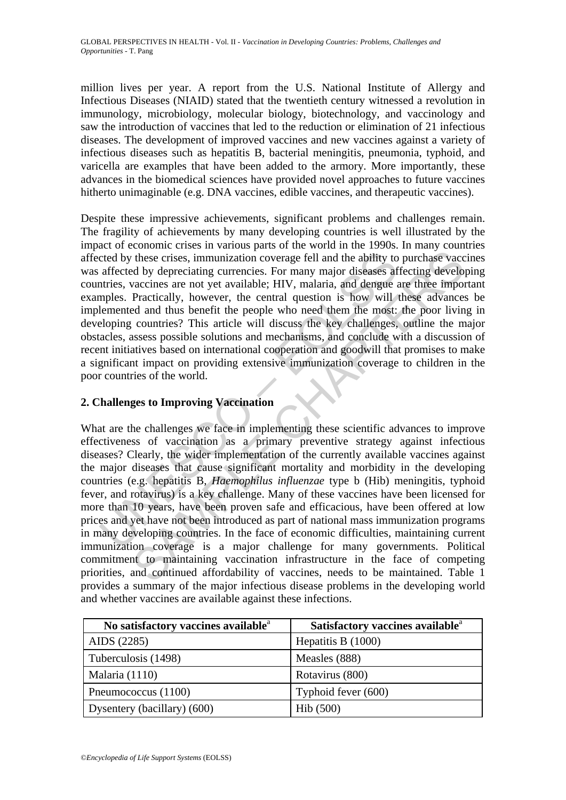million lives per year. A report from the U.S. National Institute of Allergy and Infectious Diseases (NIAID) stated that the twentieth century witnessed a revolution in immunology, microbiology, molecular biology, biotechnology, and vaccinology and saw the introduction of vaccines that led to the reduction or elimination of 21 infectious diseases. The development of improved vaccines and new vaccines against a variety of infectious diseases such as hepatitis B, bacterial meningitis, pneumonia, typhoid, and varicella are examples that have been added to the armory. More importantly, these advances in the biomedical sciences have provided novel approaches to future vaccines hitherto unimaginable (e.g. DNA vaccines, edible vaccines, and therapeutic vaccines).

cted by these crises, immunization coverage fell and the ability to affected by depreciating currencies. For many major diseases af thries, vaccines are not yet available; HIV, malaria, and dengue apples. Practically, howe Despite these impressive achievements, significant problems and challenges remain. The fragility of achievements by many developing countries is well illustrated by the impact of economic crises in various parts of the world in the 1990s. In many countries affected by these crises, immunization coverage fell and the ability to purchase vaccines was affected by depreciating currencies. For many major diseases affecting developing countries, vaccines are not yet available; HIV, malaria, and dengue are three important examples. Practically, however, the central question is how will these advances be implemented and thus benefit the people who need them the most: the poor living in developing countries? This article will discuss the key challenges, outline the major obstacles, assess possible solutions and mechanisms, and conclude with a discussion of recent initiatives based on international cooperation and goodwill that promises to make a significant impact on providing extensive immunization coverage to children in the poor countries of the world.

# **2. Challenges to Improving Vaccination**

these crises, immunization coverage fell and the ability to purchase vaced by depreciating currencies. For mary major diseases affecting develoy develoy depreciating currencies. For mary major diseases affecting develoy ac What are the challenges we face in implementing these scientific advances to improve effectiveness of vaccination as a primary preventive strategy against infectious diseases? Clearly, the wider implementation of the currently available vaccines against the major diseases that cause significant mortality and morbidity in the developing countries (e.g. hepatitis B, *Haemophilus influenzae* type b (Hib) meningitis, typhoid fever, and rotavirus) is a key challenge. Many of these vaccines have been licensed for more than 10 years, have been proven safe and efficacious, have been offered at low prices and yet have not been introduced as part of national mass immunization programs in many developing countries. In the face of economic difficulties, maintaining current immunization coverage is a major challenge for many governments. Political commitment to maintaining vaccination infrastructure in the face of competing priorities, and continued affordability of vaccines, needs to be maintained. Table 1 provides a summary of the major infectious disease problems in the developing world and whether vaccines are available against these infections.

| No satisfactory vaccines available <sup>a</sup> | Satisfactory vaccines available <sup>a</sup> |
|-------------------------------------------------|----------------------------------------------|
| AIDS (2285)                                     | Hepatitis B $(1000)$                         |
| Tuberculosis (1498)                             | Measles (888)                                |
| Malaria (1110)                                  | Rotavirus (800)                              |
| Pneumococcus (1100)                             | Typhoid fever (600)                          |
| Dysentery (bacillary) (600)                     | Hib(500)                                     |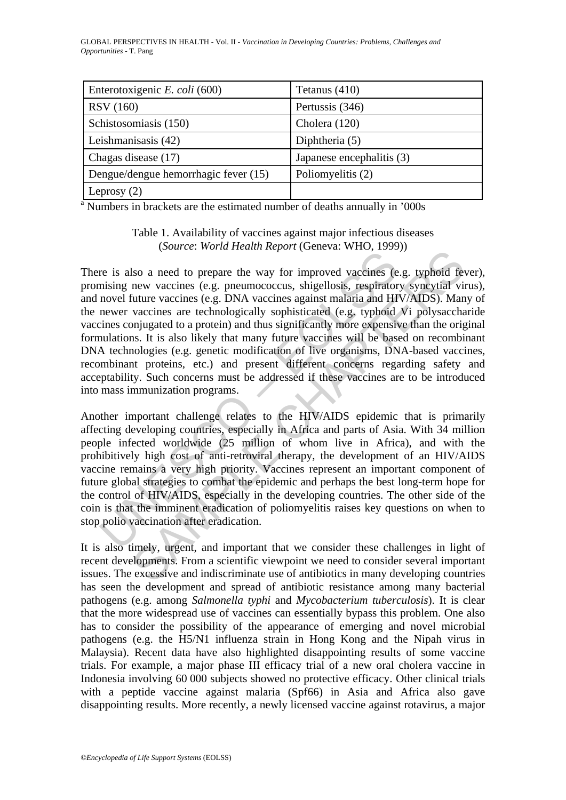| Enterotoxigenic E. coli (600)        | Tetanus $(410)$           |
|--------------------------------------|---------------------------|
| <b>RSV</b> (160)                     | Pertussis (346)           |
| Schistosomiasis (150)                | Cholera (120)             |
| Leishmanisasis (42)                  | Diphtheria $(5)$          |
| Chagas disease (17)                  | Japanese encephalitis (3) |
| Dengue/dengue hemorrhagic fever (15) | Poliomyelitis (2)         |
| Leprosy $(2)$                        |                           |

<sup>a</sup> Numbers in brackets are the estimated number of deaths annually in '000s

Table 1. Availability of vaccines against major infectious diseases (*Source*: *World Health Report* (Geneva: WHO, 1999))

The is also a need to prepare the way for improved vaccines (e.g. missing new vaccines (e.g. pneumococcus, shigellosis, respirator novel future vaccines (e.g. DNA vaccines against malaria and HI newer vaccines are technolo solar and to present the way for improved vaccines (e.g. typhoid feveral involver and the way for improved vaccines (e.g. typhoid virture vaccines (e.g. penemococcus, shigellosis, respiratory syncytial virture vaccines (e. There is also a need to prepare the way for improved vaccines (e.g. typhoid fever), promising new vaccines (e.g. pneumococcus, shigellosis, respiratory syncytial virus), and novel future vaccines (e.g. DNA vaccines against malaria and HIV/AIDS). Many of the newer vaccines are technologically sophisticated (e.g. typhoid Vi polysaccharide vaccines conjugated to a protein) and thus significantly more expensive than the original formulations. It is also likely that many future vaccines will be based on recombinant DNA technologies (e.g. genetic modification of live organisms, DNA-based vaccines, recombinant proteins, etc.) and present different concerns regarding safety and acceptability. Such concerns must be addressed if these vaccines are to be introduced into mass immunization programs.

Another important challenge relates to the HIV/AIDS epidemic that is primarily affecting developing countries, especially in Africa and parts of Asia. With 34 million people infected worldwide (25 million of whom live in Africa), and with the prohibitively high cost of anti-retroviral therapy, the development of an HIV/AIDS vaccine remains a very high priority. Vaccines represent an important component of future global strategies to combat the epidemic and perhaps the best long-term hope for the control of HIV/AIDS, especially in the developing countries. The other side of the coin is that the imminent eradication of poliomyelitis raises key questions on when to stop polio vaccination after eradication.

It is also timely, urgent, and important that we consider these challenges in light of recent developments. From a scientific viewpoint we need to consider several important issues. The excessive and indiscriminate use of antibiotics in many developing countries has seen the development and spread of antibiotic resistance among many bacterial pathogens (e.g. among *Salmonella typhi* and *Mycobacterium tuberculosis*). It is clear that the more widespread use of vaccines can essentially bypass this problem. One also has to consider the possibility of the appearance of emerging and novel microbial pathogens (e.g. the H5/N1 influenza strain in Hong Kong and the Nipah virus in Malaysia). Recent data have also highlighted disappointing results of some vaccine trials. For example, a major phase III efficacy trial of a new oral cholera vaccine in Indonesia involving 60 000 subjects showed no protective efficacy. Other clinical trials with a peptide vaccine against malaria (Spf66) in Asia and Africa also gave disappointing results. More recently, a newly licensed vaccine against rotavirus, a major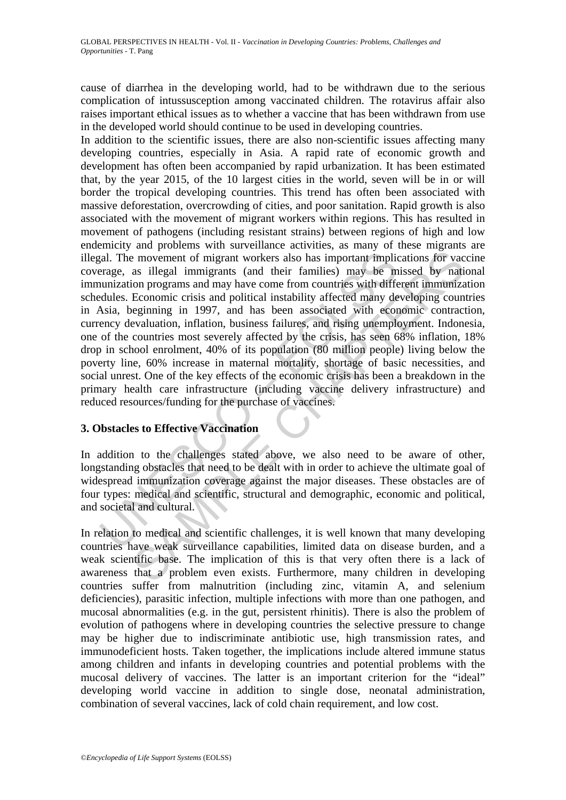cause of diarrhea in the developing world, had to be withdrawn due to the serious complication of intussusception among vaccinated children. The rotavirus affair also raises important ethical issues as to whether a vaccine that has been withdrawn from use in the developed world should continue to be used in developing countries.

relation to medical and scientific structural and demographic, econdiction to medical and the terminosis with different and political instability affected many deviation programs and may have come from countries with diffe is movement of migrant workers also has important implications for vacas illegal immigrants (and their families) may be missed by nation programs and may have come from countries with different immunization. Economic crisi In addition to the scientific issues, there are also non-scientific issues affecting many developing countries, especially in Asia. A rapid rate of economic growth and development has often been accompanied by rapid urbanization. It has been estimated that, by the year 2015, of the 10 largest cities in the world, seven will be in or will border the tropical developing countries. This trend has often been associated with massive deforestation, overcrowding of cities, and poor sanitation. Rapid growth is also associated with the movement of migrant workers within regions. This has resulted in movement of pathogens (including resistant strains) between regions of high and low endemicity and problems with surveillance activities, as many of these migrants are illegal. The movement of migrant workers also has important implications for vaccine coverage, as illegal immigrants (and their families) may be missed by national immunization programs and may have come from countries with different immunization schedules. Economic crisis and political instability affected many developing countries in Asia, beginning in 1997, and has been associated with economic contraction, currency devaluation, inflation, business failures, and rising unemployment. Indonesia, one of the countries most severely affected by the crisis, has seen 68% inflation, 18% drop in school enrolment, 40% of its population (80 million people) living below the poverty line, 60% increase in maternal mortality, shortage of basic necessities, and social unrest. One of the key effects of the economic crisis has been a breakdown in the primary health care infrastructure (including vaccine delivery infrastructure) and reduced resources/funding for the purchase of vaccines.

# **3. Obstacles to Effective Vaccination**

In addition to the challenges stated above, we also need to be aware of other, longstanding obstacles that need to be dealt with in order to achieve the ultimate goal of widespread immunization coverage against the major diseases. These obstacles are of four types: medical and scientific, structural and demographic, economic and political, and societal and cultural.

In relation to medical and scientific challenges, it is well known that many developing countries have weak surveillance capabilities, limited data on disease burden, and a weak scientific base. The implication of this is that very often there is a lack of awareness that a problem even exists. Furthermore, many children in developing countries suffer from malnutrition (including zinc, vitamin A, and selenium deficiencies), parasitic infection, multiple infections with more than one pathogen, and mucosal abnormalities (e.g. in the gut, persistent rhinitis). There is also the problem of evolution of pathogens where in developing countries the selective pressure to change may be higher due to indiscriminate antibiotic use, high transmission rates, and immunodeficient hosts. Taken together, the implications include altered immune status among children and infants in developing countries and potential problems with the mucosal delivery of vaccines. The latter is an important criterion for the "ideal" developing world vaccine in addition to single dose, neonatal administration, combination of several vaccines, lack of cold chain requirement, and low cost.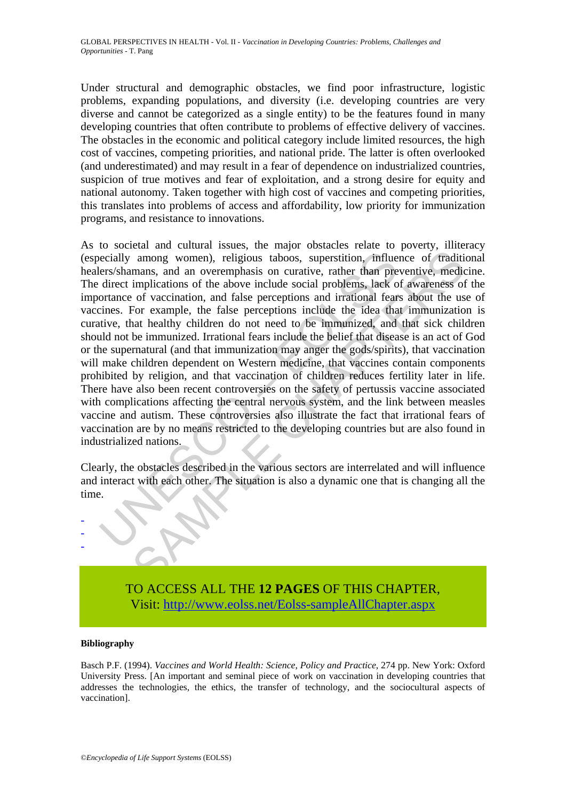Under structural and demographic obstacles, we find poor infrastructure, logistic problems, expanding populations, and diversity (i.e. developing countries are very diverse and cannot be categorized as a single entity) to be the features found in many developing countries that often contribute to problems of effective delivery of vaccines. The obstacles in the economic and political category include limited resources, the high cost of vaccines, competing priorities, and national pride. The latter is often overlooked (and underestimated) and may result in a fear of dependence on industrialized countries, suspicion of true motives and fear of exploitation, and a strong desire for equity and national autonomy. Taken together with high cost of vaccines and competing priorities, this translates into problems of access and affordability, low priority for immunization programs, and resistance to innovations.

ecially among women), religious taboos, superstition, influences/shamans, and an overemphasis on curative, rather than predirect implications of the above include social problems, lack of ortance of vaccination, and false among women), religious taboos, superstition, influence of traditionaris, and an overemphasis on curative, rather than preventive, medical influence of vaccination, and flashes perceptions and irrational fears about the us As to societal and cultural issues, the major obstacles relate to poverty, illiteracy (especially among women), religious taboos, superstition, influence of traditional healers/shamans, and an overemphasis on curative, rather than preventive, medicine. The direct implications of the above include social problems, lack of awareness of the importance of vaccination, and false perceptions and irrational fears about the use of vaccines. For example, the false perceptions include the idea that immunization is curative, that healthy children do not need to be immunized, and that sick children should not be immunized. Irrational fears include the belief that disease is an act of God or the supernatural (and that immunization may anger the gods/spirits), that vaccination will make children dependent on Western medicine, that vaccines contain components prohibited by religion, and that vaccination of children reduces fertility later in life. There have also been recent controversies on the safety of pertussis vaccine associated with complications affecting the central nervous system, and the link between measles vaccine and autism. These controversies also illustrate the fact that irrational fears of vaccination are by no means restricted to the developing countries but are also found in industrialized nations.

Clearly, the obstacles described in the various sectors are interrelated and will influence and interact with each other. The situation is also a dynamic one that is changing all the time.



#### **Bibliography**

- - -

Basch P.F. (1994). *Vaccines and World Health: Science, Policy and Practice*, 274 pp. New York: Oxford University Press. [An important and seminal piece of work on vaccination in developing countries that addresses the technologies, the ethics, the transfer of technology, and the sociocultural aspects of vaccination].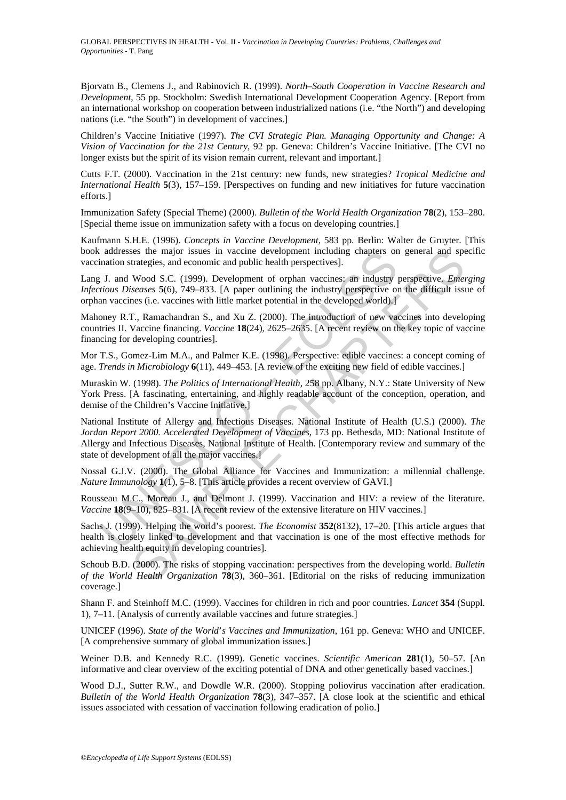Bjorvatn B., Clemens J., and Rabinovich R. (1999). *North–South Cooperation in Vaccine Research and Development*, 55 pp. Stockholm: Swedish International Development Cooperation Agency. [Report from an international workshop on cooperation between industrialized nations (i.e. "the North") and developing nations (i.e. "the South") in development of vaccines.]

Children's Vaccine Initiative (1997). *The CVI Strategic Plan. Managing Opportunity and Change: A Vision of Vaccination for the 21st Century*, 92 pp. Geneva: Children's Vaccine Initiative. [The CVI no longer exists but the spirit of its vision remain current, relevant and important.

Cutts F.T. (2000). Vaccination in the 21st century: new funds, new strategies? *Tropical Medicine and International Health* **5**(3), 157–159. [Perspectives on funding and new initiatives for future vaccination efforts.]

Immunization Safety (Special Theme) (2000). *Bulletin of the World Health Organization* **78**(2), 153–280. [Special theme issue on immunization safety with a focus on developing countries.]

Kaufmann S.H.E. (1996). *Concepts in Vaccine Development*, 583 pp. Berlin: Walter de Gruyter. [This book addresses the major issues in vaccine development including chapters on general and specific vaccination strategies, and economic and public health perspectives].

Lang J. and Wood S.C. (1999). Development of orphan vaccines: an industry perspective. *Emerging Infectious Diseases* **5**(6), 749–833. [A paper outlining the industry perspective on the difficult issue of orphan vaccines (i.e. vaccines with little market potential in the developed world).]

Mahoney R.T., Ramachandran S., and Xu Z. (2000). The introduction of new vaccines into developing countries II. Vaccine financing. *Vaccine* **18**(24), 2625–2635. [A recent review on the key topic of vaccine financing for developing countries].

Mor T.S., Gomez-Lim M.A., and Palmer K.E. (1998). Perspective: edible vaccines: a concept coming of age. *Trends in Microbiology* **6**(11), 449–453. [A review of the exciting new field of edible vaccines.]

Muraskin W. (1998). *The Politics of International Health*, 258 pp. Albany, N.Y.: State University of New York Press. [A fascinating, entertaining, and highly readable account of the conception, operation, and demise of the Children's Vaccine Initiative.]

andron strategies, and economic and public health perspectives].<br>
In antom strategies, and economic and public health perspectives].<br>
[J. and Wood S.C. (1999). Development of orphran vaccines: an industry<br>
trious Diseases is the major issues in vaccine development including chapters on general and spectres.<br>
trategies, and economic and public health perspectives].<br>
Wood S.C. (1999). Development of orphan vaccines: an industry perspective. National Institute of Allergy and Infectious Diseases. National Institute of Health (U.S.) (2000). *The Jordan Report 2000. Accelerated Development of Vaccines*, 173 pp. Bethesda, MD: National Institute of Allergy and Infectious Diseases, National Institute of Health. [Contemporary review and summary of the state of development of all the major vaccines.]

Nossal G.J.V. (2000). The Global Alliance for Vaccines and Immunization: a millennial challenge. *Nature Immunology* **1**(1), 5–8. [This article provides a recent overview of GAVI.]

Rousseau M.C., Moreau J., and Delmont J. (1999). Vaccination and HIV: a review of the literature. *Vaccine* **18**(9–10), 825–831. [A recent review of the extensive literature on HIV vaccines.]

Sachs J. (1999). Helping the world's poorest. *The Economist* **352**(8132), 17–20. [This article argues that health is closely linked to development and that vaccination is one of the most effective methods for achieving health equity in developing countries].

Schoub B.D. (2000). The risks of stopping vaccination: perspectives from the developing world. *Bulletin of the World Health Organization* **78**(3), 360–361. [Editorial on the risks of reducing immunization coverage.]

Shann F. and Steinhoff M.C. (1999). Vaccines for children in rich and poor countries. *Lancet* **354** (Suppl. 1), 7–11. [Analysis of currently available vaccines and future strategies.]

UNICEF (1996). *State of the World*'*s Vaccines and Immunization*, 161 pp. Geneva: WHO and UNICEF. [A comprehensive summary of global immunization issues.]

Weiner D.B. and Kennedy R.C. (1999). Genetic vaccines. *Scientific American* **281**(1), 50–57. [An informative and clear overview of the exciting potential of DNA and other genetically based vaccines.]

Wood D.J., Sutter R.W., and Dowdle W.R. (2000). Stopping poliovirus vaccination after eradication. *Bulletin of the World Health Organization* **78**(3), 347–357. [A close look at the scientific and ethical issues associated with cessation of vaccination following eradication of polio.]